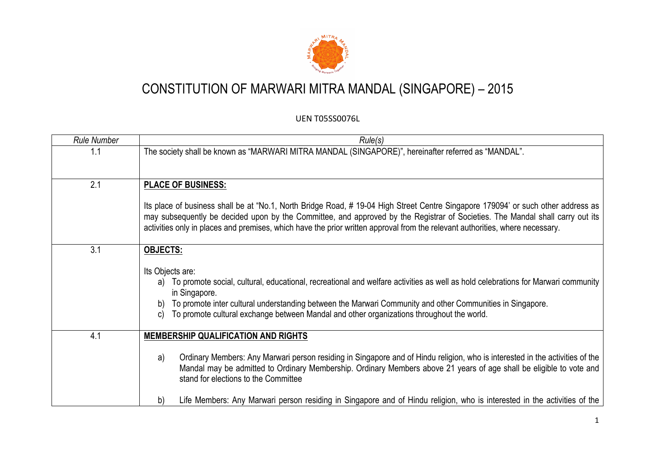

| <b>Rule Number</b> | Rule(s)                                                                                                                                                                                                                                                                                                                                                                                            |
|--------------------|----------------------------------------------------------------------------------------------------------------------------------------------------------------------------------------------------------------------------------------------------------------------------------------------------------------------------------------------------------------------------------------------------|
| 1.1                | The society shall be known as "MARWARI MITRA MANDAL (SINGAPORE)", hereinafter referred as "MANDAL".                                                                                                                                                                                                                                                                                                |
| 2.1                | <b>PLACE OF BUSINESS:</b>                                                                                                                                                                                                                                                                                                                                                                          |
|                    | Its place of business shall be at "No.1, North Bridge Road, #19-04 High Street Centre Singapore 179094' or such other address as<br>may subsequently be decided upon by the Committee, and approved by the Registrar of Societies. The Mandal shall carry out its<br>activities only in places and premises, which have the prior written approval from the relevant authorities, where necessary. |
| 3.1                | <b>OBJECTS:</b>                                                                                                                                                                                                                                                                                                                                                                                    |
|                    | Its Objects are:<br>a) To promote social, cultural, educational, recreational and welfare activities as well as hold celebrations for Marwari community<br>in Singapore.<br>To promote inter cultural understanding between the Marwari Community and other Communities in Singapore.<br>b)<br>To promote cultural exchange between Mandal and other organizations throughout the world.<br>C)     |
| 4.1                | <b>MEMBERSHIP QUALIFICATION AND RIGHTS</b>                                                                                                                                                                                                                                                                                                                                                         |
|                    | Ordinary Members: Any Marwari person residing in Singapore and of Hindu religion, who is interested in the activities of the<br>a)<br>Mandal may be admitted to Ordinary Membership. Ordinary Members above 21 years of age shall be eligible to vote and<br>stand for elections to the Committee                                                                                                  |
|                    | Life Members: Any Marwari person residing in Singapore and of Hindu religion, who is interested in the activities of the<br>b)                                                                                                                                                                                                                                                                     |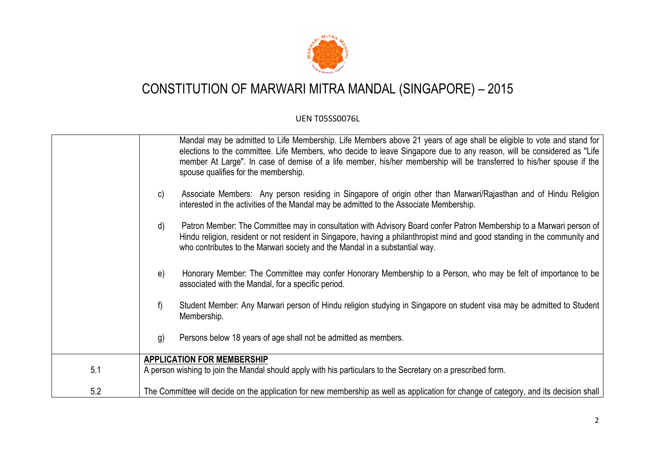

|     | Mandal may be admitted to Life Membership. Life Members above 21 years of age shall be eligible to vote and stand for<br>elections to the committee. Life Members, who decide to leave Singapore due to any reason, will be considered as "Life<br>member At Large". In case of demise of a life member, his/her membership will be transferred to his/her spouse if the<br>spouse qualifies for the membership. |
|-----|------------------------------------------------------------------------------------------------------------------------------------------------------------------------------------------------------------------------------------------------------------------------------------------------------------------------------------------------------------------------------------------------------------------|
|     | Associate Members: Any person residing in Singapore of origin other than Marwari/Rajasthan and of Hindu Religion<br>$\mathsf{C}$<br>interested in the activities of the Mandal may be admitted to the Associate Membership.                                                                                                                                                                                      |
|     | Patron Member: The Committee may in consultation with Advisory Board confer Patron Membership to a Marwari person of<br>d)<br>Hindu religion, resident or not resident in Singapore, having a philanthropist mind and good standing in the community and<br>who contributes to the Marwari society and the Mandal in a substantial way.                                                                          |
|     | Honorary Member: The Committee may confer Honorary Membership to a Person, who may be felt of importance to be<br>e)<br>associated with the Mandal, for a specific period.                                                                                                                                                                                                                                       |
|     | f)<br>Student Member: Any Marwari person of Hindu religion studying in Singapore on student visa may be admitted to Student<br>Membership.                                                                                                                                                                                                                                                                       |
|     | Persons below 18 years of age shall not be admitted as members.<br>g)                                                                                                                                                                                                                                                                                                                                            |
|     | <b>APPLICATION FOR MEMBERSHIP</b>                                                                                                                                                                                                                                                                                                                                                                                |
| 5.1 | A person wishing to join the Mandal should apply with his particulars to the Secretary on a prescribed form.                                                                                                                                                                                                                                                                                                     |
| 5.2 | The Committee will decide on the application for new membership as well as application for change of category, and its decision shall                                                                                                                                                                                                                                                                            |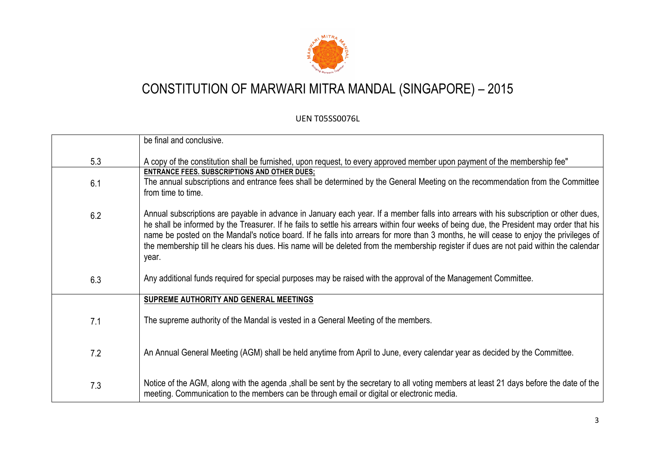

|     | be final and conclusive.                                                                                                                                                                                                                                                                                                                                                                                                                                                                                                                                                        |
|-----|---------------------------------------------------------------------------------------------------------------------------------------------------------------------------------------------------------------------------------------------------------------------------------------------------------------------------------------------------------------------------------------------------------------------------------------------------------------------------------------------------------------------------------------------------------------------------------|
| 5.3 | A copy of the constitution shall be furnished, upon request, to every approved member upon payment of the membership fee"                                                                                                                                                                                                                                                                                                                                                                                                                                                       |
| 6.1 | <b>ENTRANCE FEES. SUBSCRIPTIONS AND OTHER DUES;</b><br>The annual subscriptions and entrance fees shall be determined by the General Meeting on the recommendation from the Committee<br>from time to time.                                                                                                                                                                                                                                                                                                                                                                     |
| 6.2 | Annual subscriptions are payable in advance in January each year. If a member falls into arrears with his subscription or other dues,<br>he shall be informed by the Treasurer. If he fails to settle his arrears within four weeks of being due, the President may order that his<br>name be posted on the Mandal's notice board. If he falls into arrears for more than 3 months, he will cease to enjoy the privileges of<br>the membership till he clears his dues. His name will be deleted from the membership register if dues are not paid within the calendar<br>year. |
| 6.3 | Any additional funds required for special purposes may be raised with the approval of the Management Committee.                                                                                                                                                                                                                                                                                                                                                                                                                                                                 |
|     | SUPREME AUTHORITY AND GENERAL MEETINGS                                                                                                                                                                                                                                                                                                                                                                                                                                                                                                                                          |
| 7.1 | The supreme authority of the Mandal is vested in a General Meeting of the members.                                                                                                                                                                                                                                                                                                                                                                                                                                                                                              |
| 7.2 | An Annual General Meeting (AGM) shall be held anytime from April to June, every calendar year as decided by the Committee.                                                                                                                                                                                                                                                                                                                                                                                                                                                      |
| 7.3 | Notice of the AGM, along with the agenda , shall be sent by the secretary to all voting members at least 21 days before the date of the<br>meeting. Communication to the members can be through email or digital or electronic media.                                                                                                                                                                                                                                                                                                                                           |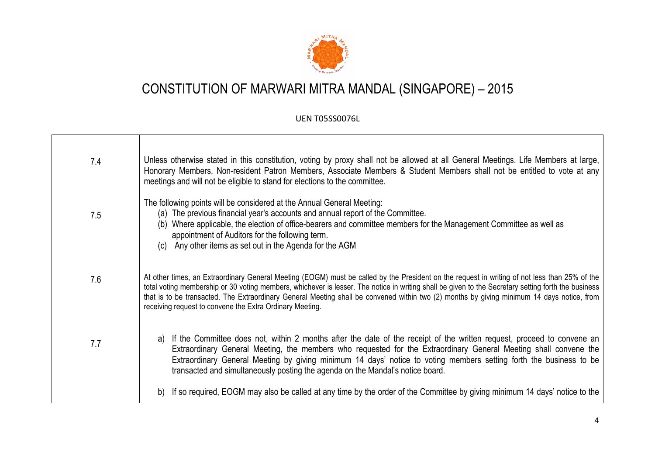

| 7.4 | Unless otherwise stated in this constitution, voting by proxy shall not be allowed at all General Meetings. Life Members at large,<br>Honorary Members, Non-resident Patron Members, Associate Members & Student Members shall not be entitled to vote at any<br>meetings and will not be eligible to stand for elections to the committee.                                                                                                                                                                    |
|-----|----------------------------------------------------------------------------------------------------------------------------------------------------------------------------------------------------------------------------------------------------------------------------------------------------------------------------------------------------------------------------------------------------------------------------------------------------------------------------------------------------------------|
| 7.5 | The following points will be considered at the Annual General Meeting:<br>(a) The previous financial year's accounts and annual report of the Committee.<br>Where applicable, the election of office-bearers and committee members for the Management Committee as well as<br>(b)<br>appointment of Auditors for the following term.<br>Any other items as set out in the Agenda for the AGM<br>(C)                                                                                                            |
| 7.6 | At other times, an Extraordinary General Meeting (EOGM) must be called by the President on the request in writing of not less than 25% of the<br>total voting membership or 30 voting members, whichever is lesser. The notice in writing shall be given to the Secretary setting forth the business<br>that is to be transacted. The Extraordinary General Meeting shall be convened within two (2) months by giving minimum 14 days notice, from<br>receiving request to convene the Extra Ordinary Meeting. |
| 7.7 | If the Committee does not, within 2 months after the date of the receipt of the written request, proceed to convene an<br>a)<br>Extraordinary General Meeting, the members who requested for the Extraordinary General Meeting shall convene the<br>Extraordinary General Meeting by giving minimum 14 days' notice to voting members setting forth the business to be<br>transacted and simultaneously posting the agenda on the Mandal's notice board.                                                       |
|     | If so required, EOGM may also be called at any time by the order of the Committee by giving minimum 14 days' notice to the                                                                                                                                                                                                                                                                                                                                                                                     |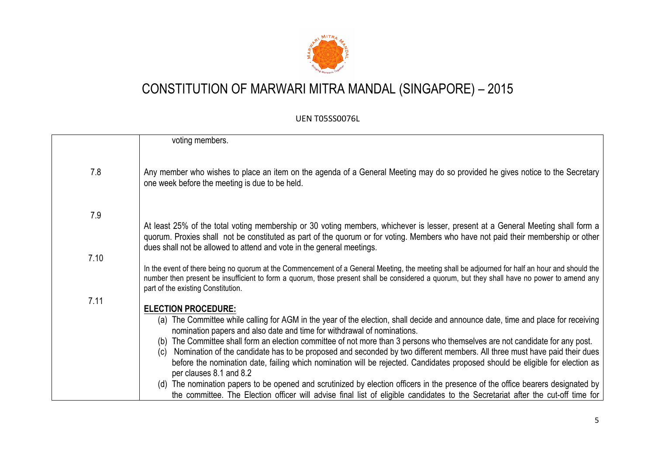

| 7.8  | voting members.<br>Any member who wishes to place an item on the agenda of a General Meeting may do so provided he gives notice to the Secretary                                                                                                                                                                                                                                                                                |
|------|---------------------------------------------------------------------------------------------------------------------------------------------------------------------------------------------------------------------------------------------------------------------------------------------------------------------------------------------------------------------------------------------------------------------------------|
| 7.9  | one week before the meeting is due to be held.                                                                                                                                                                                                                                                                                                                                                                                  |
| 7.10 | At least 25% of the total voting membership or 30 voting members, whichever is lesser, present at a General Meeting shall form a<br>quorum. Proxies shall not be constituted as part of the quorum or for voting. Members who have not paid their membership or other<br>dues shall not be allowed to attend and vote in the general meetings.                                                                                  |
|      | In the event of there being no quorum at the Commencement of a General Meeting, the meeting shall be adjourned for half an hour and should the<br>number then present be insufficient to form a quorum, those present shall be considered a quorum, but they shall have no power to amend any<br>part of the existing Constitution.                                                                                             |
| 7.11 | <b>ELECTION PROCEDURE:</b><br>(a) The Committee while calling for AGM in the year of the election, shall decide and announce date, time and place for receiving<br>nomination papers and also date and time for withdrawal of nominations.                                                                                                                                                                                      |
|      | The Committee shall form an election committee of not more than 3 persons who themselves are not candidate for any post.<br>(b)<br>Nomination of the candidate has to be proposed and seconded by two different members. All three must have paid their dues<br>(c)<br>before the nomination date, failing which nomination will be rejected. Candidates proposed should be eligible for election as<br>per clauses 8.1 and 8.2 |
|      | (d) The nomination papers to be opened and scrutinized by election officers in the presence of the office bearers designated by<br>the committee. The Election officer will advise final list of eligible candidates to the Secretariat after the cut-off time for                                                                                                                                                              |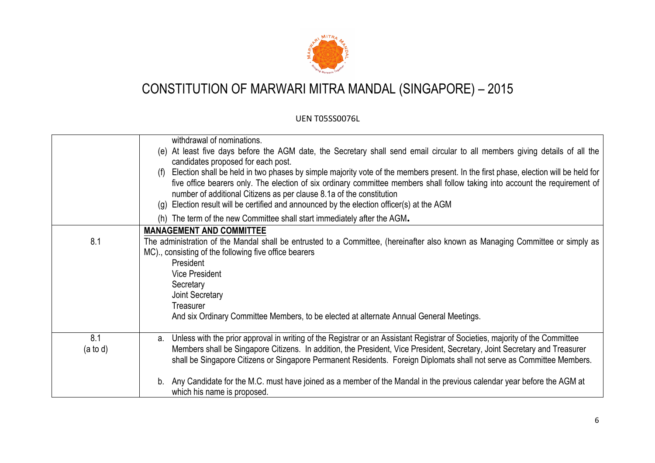

|                            | withdrawal of nominations.<br>(e) At least five days before the AGM date, the Secretary shall send email circular to all members giving details of all the<br>candidates proposed for each post.<br>(f) Election shall be held in two phases by simple majority vote of the members present. In the first phase, election will be held for<br>five office bearers only. The election of six ordinary committee members shall follow taking into account the requirement of<br>number of additional Citizens as per clause 8.1a of the constitution<br>(g) Election result will be certified and announced by the election officer(s) at the AGM |
|----------------------------|-------------------------------------------------------------------------------------------------------------------------------------------------------------------------------------------------------------------------------------------------------------------------------------------------------------------------------------------------------------------------------------------------------------------------------------------------------------------------------------------------------------------------------------------------------------------------------------------------------------------------------------------------|
|                            | (h) The term of the new Committee shall start immediately after the AGM.                                                                                                                                                                                                                                                                                                                                                                                                                                                                                                                                                                        |
| 8.1                        | <b>MANAGEMENT AND COMMITTEE</b><br>The administration of the Mandal shall be entrusted to a Committee, (hereinafter also known as Managing Committee or simply as<br>MC)., consisting of the following five office bearers<br>President<br>Vice President<br>Secretary<br>Joint Secretary<br>Treasurer                                                                                                                                                                                                                                                                                                                                          |
|                            | And six Ordinary Committee Members, to be elected at alternate Annual General Meetings.                                                                                                                                                                                                                                                                                                                                                                                                                                                                                                                                                         |
| 8.1<br>$(a \text{ to } d)$ | a. Unless with the prior approval in writing of the Registrar or an Assistant Registrar of Societies, majority of the Committee<br>Members shall be Singapore Citizens. In addition, the President, Vice President, Secretary, Joint Secretary and Treasurer<br>shall be Singapore Citizens or Singapore Permanent Residents. Foreign Diplomats shall not serve as Committee Members.                                                                                                                                                                                                                                                           |
|                            | b. Any Candidate for the M.C. must have joined as a member of the Mandal in the previous calendar year before the AGM at<br>which his name is proposed.                                                                                                                                                                                                                                                                                                                                                                                                                                                                                         |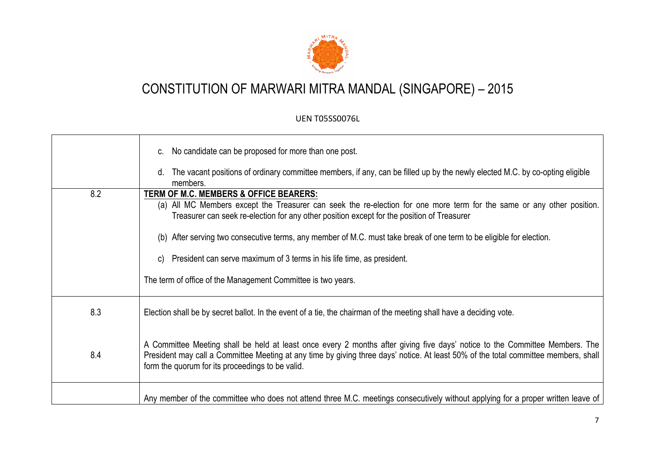

|     | c. No candidate can be proposed for more than one post.<br>The vacant positions of ordinary committee members, if any, can be filled up by the newly elected M.C. by co-opting eligible<br>d.<br>members.                                                                                                                                                                                                                                                                                                                              |
|-----|----------------------------------------------------------------------------------------------------------------------------------------------------------------------------------------------------------------------------------------------------------------------------------------------------------------------------------------------------------------------------------------------------------------------------------------------------------------------------------------------------------------------------------------|
| 8.2 | TERM OF M.C. MEMBERS & OFFICE BEARERS:<br>(a) All MC Members except the Treasurer can seek the re-election for one more term for the same or any other position.<br>Treasurer can seek re-election for any other position except for the position of Treasurer<br>(b) After serving two consecutive terms, any member of M.C. must take break of one term to be eligible for election.<br>President can serve maximum of 3 terms in his life time, as president.<br>C)<br>The term of office of the Management Committee is two years. |
| 8.3 | Election shall be by secret ballot. In the event of a tie, the chairman of the meeting shall have a deciding vote.                                                                                                                                                                                                                                                                                                                                                                                                                     |
| 8.4 | A Committee Meeting shall be held at least once every 2 months after giving five days' notice to the Committee Members. The<br>President may call a Committee Meeting at any time by giving three days' notice. At least 50% of the total committee members, shall<br>form the quorum for its proceedings to be valid.                                                                                                                                                                                                                 |
|     | Any member of the committee who does not attend three M.C. meetings consecutively without applying for a proper written leave of                                                                                                                                                                                                                                                                                                                                                                                                       |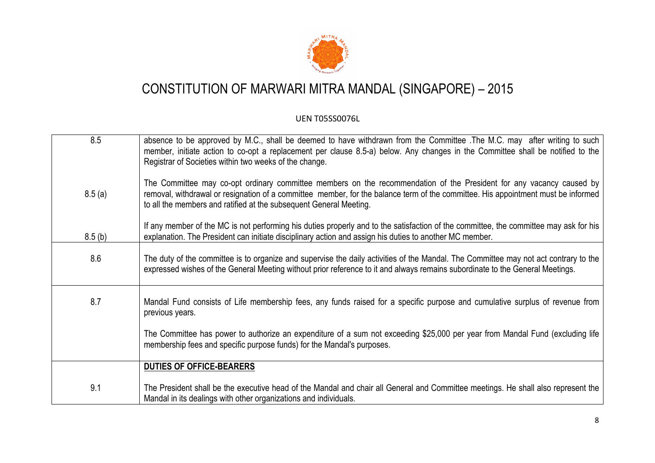

| 8.5    | absence to be approved by M.C., shall be deemed to have withdrawn from the Committee The M.C. may after writing to such<br>member, initiate action to co-opt a replacement per clause 8.5-a) below. Any changes in the Committee shall be notified to the<br>Registrar of Societies within two weeks of the change.             |
|--------|---------------------------------------------------------------------------------------------------------------------------------------------------------------------------------------------------------------------------------------------------------------------------------------------------------------------------------|
| 8.5(a) | The Committee may co-opt ordinary committee members on the recommendation of the President for any vacancy caused by<br>removal, withdrawal or resignation of a committee member, for the balance term of the committee. His appointment must be informed<br>to all the members and ratified at the subsequent General Meeting. |
| 8.5(b) | If any member of the MC is not performing his duties properly and to the satisfaction of the committee, the committee may ask for his<br>explanation. The President can initiate disciplinary action and assign his duties to another MC member.                                                                                |
| 8.6    | The duty of the committee is to organize and supervise the daily activities of the Mandal. The Committee may not act contrary to the<br>expressed wishes of the General Meeting without prior reference to it and always remains subordinate to the General Meetings.                                                           |
| 8.7    | Mandal Fund consists of Life membership fees, any funds raised for a specific purpose and cumulative surplus of revenue from<br>previous years.                                                                                                                                                                                 |
|        | The Committee has power to authorize an expenditure of a sum not exceeding \$25,000 per year from Mandal Fund (excluding life<br>membership fees and specific purpose funds) for the Mandal's purposes.                                                                                                                         |
|        | <b>DUTIES OF OFFICE-BEARERS</b>                                                                                                                                                                                                                                                                                                 |
| 9.1    | The President shall be the executive head of the Mandal and chair all General and Committee meetings. He shall also represent the<br>Mandal in its dealings with other organizations and individuals.                                                                                                                           |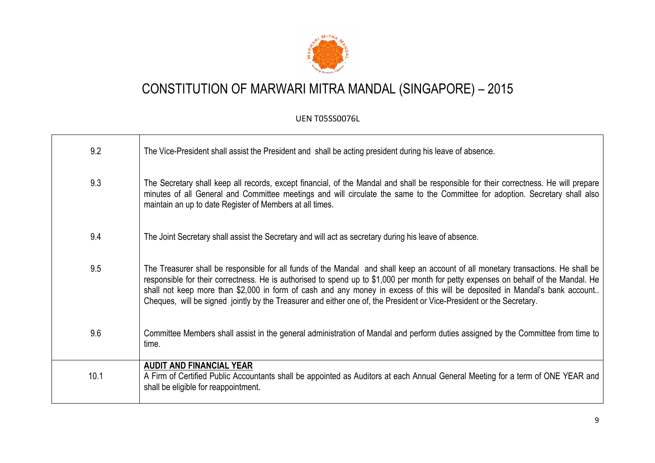

| 9.2  | The Vice-President shall assist the President and shall be acting president during his leave of absence.                                                                                                                                                                                                                                                                                                                                                                                                                          |
|------|-----------------------------------------------------------------------------------------------------------------------------------------------------------------------------------------------------------------------------------------------------------------------------------------------------------------------------------------------------------------------------------------------------------------------------------------------------------------------------------------------------------------------------------|
| 9.3  | The Secretary shall keep all records, except financial, of the Mandal and shall be responsible for their correctness. He will prepare<br>minutes of all General and Committee meetings and will circulate the same to the Committee for adoption. Secretary shall also<br>maintain an up to date Register of Members at all times.                                                                                                                                                                                                |
| 9.4  | The Joint Secretary shall assist the Secretary and will act as secretary during his leave of absence.                                                                                                                                                                                                                                                                                                                                                                                                                             |
| 9.5  | The Treasurer shall be responsible for all funds of the Mandal and shall keep an account of all monetary transactions. He shall be<br>responsible for their correctness. He is authorised to spend up to \$1,000 per month for petty expenses on behalf of the Mandal. He<br>shall not keep more than \$2,000 in form of cash and any money in excess of this will be deposited in Mandal's bank account<br>Cheques, will be signed jointly by the Treasurer and either one of, the President or Vice-President or the Secretary. |
| 9.6  | Committee Members shall assist in the general administration of Mandal and perform duties assigned by the Committee from time to<br>time.                                                                                                                                                                                                                                                                                                                                                                                         |
| 10.1 | <b>AUDIT AND FINANCIAL YEAR</b><br>A Firm of Certified Public Accountants shall be appointed as Auditors at each Annual General Meeting for a term of ONE YEAR and<br>shall be eligible for reappointment.                                                                                                                                                                                                                                                                                                                        |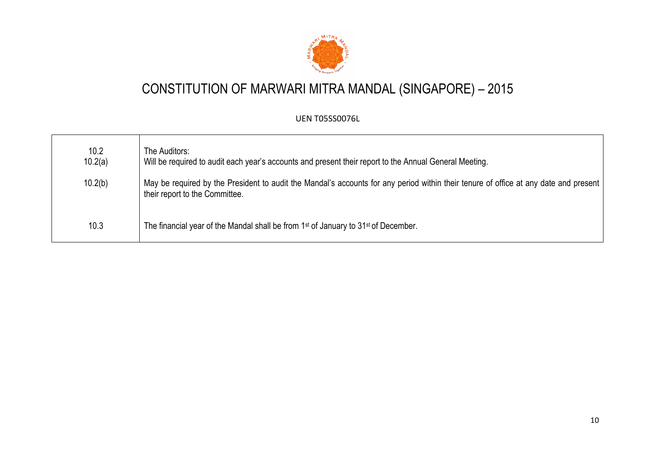

| 10.2<br>10.2(a) | The Auditors:<br>Will be required to audit each year's accounts and present their report to the Annual General Meeting.                                                  |
|-----------------|--------------------------------------------------------------------------------------------------------------------------------------------------------------------------|
| 10.2(b)         | May be required by the President to audit the Mandal's accounts for any period within their tenure of office at any date and present  <br>their report to the Committee. |
| 10.3            | The financial year of the Mandal shall be from 1 <sup>st</sup> of January to 31 <sup>st</sup> of December.                                                               |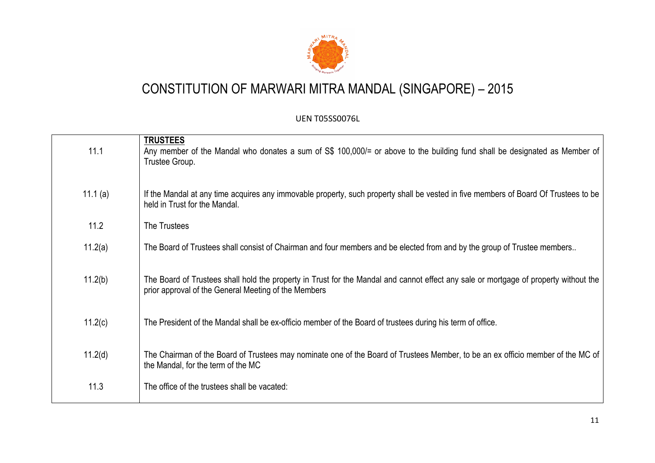

| 11.1       | <b>TRUSTEES</b><br>Any member of the Mandal who donates a sum of S\$ 100,000/= or above to the building fund shall be designated as Member of<br>Trustee Group.                              |
|------------|----------------------------------------------------------------------------------------------------------------------------------------------------------------------------------------------|
| 11.1 $(a)$ | If the Mandal at any time acquires any immovable property, such property shall be vested in five members of Board Of Trustees to be<br>held in Trust for the Mandal.                         |
| 11.2       | The Trustees                                                                                                                                                                                 |
| 11.2(a)    | The Board of Trustees shall consist of Chairman and four members and be elected from and by the group of Trustee members                                                                     |
| 11.2(b)    | The Board of Trustees shall hold the property in Trust for the Mandal and cannot effect any sale or mortgage of property without the<br>prior approval of the General Meeting of the Members |
| 11.2(c)    | The President of the Mandal shall be ex-officio member of the Board of trustees during his term of office.                                                                                   |
| 11.2(d)    | The Chairman of the Board of Trustees may nominate one of the Board of Trustees Member, to be an ex officio member of the MC of<br>the Mandal, for the term of the MC                        |
| 11.3       | The office of the trustees shall be vacated:                                                                                                                                                 |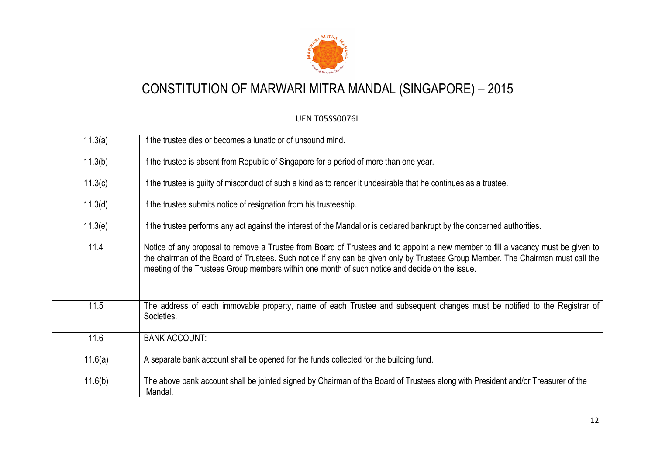

| 11.3(a) | If the trustee dies or becomes a lunatic or of unsound mind.                                                                                                                                                                                                                                                                                                           |
|---------|------------------------------------------------------------------------------------------------------------------------------------------------------------------------------------------------------------------------------------------------------------------------------------------------------------------------------------------------------------------------|
| 11.3(b) | If the trustee is absent from Republic of Singapore for a period of more than one year.                                                                                                                                                                                                                                                                                |
| 11.3(c) | If the trustee is guilty of misconduct of such a kind as to render it undesirable that he continues as a trustee.                                                                                                                                                                                                                                                      |
| 11.3(d) | If the trustee submits notice of resignation from his trusteeship.                                                                                                                                                                                                                                                                                                     |
| 11.3(e) | If the trustee performs any act against the interest of the Mandal or is declared bankrupt by the concerned authorities.                                                                                                                                                                                                                                               |
| 11.4    | Notice of any proposal to remove a Trustee from Board of Trustees and to appoint a new member to fill a vacancy must be given to<br>the chairman of the Board of Trustees. Such notice if any can be given only by Trustees Group Member. The Chairman must call the<br>meeting of the Trustees Group members within one month of such notice and decide on the issue. |
| 11.5    | The address of each immovable property, name of each Trustee and subsequent changes must be notified to the Registrar of<br>Societies.                                                                                                                                                                                                                                 |
| 11.6    | <b>BANK ACCOUNT:</b>                                                                                                                                                                                                                                                                                                                                                   |
| 11.6(a) | A separate bank account shall be opened for the funds collected for the building fund.                                                                                                                                                                                                                                                                                 |
| 11.6(b) | The above bank account shall be jointed signed by Chairman of the Board of Trustees along with President and/or Treasurer of the<br>Mandal.                                                                                                                                                                                                                            |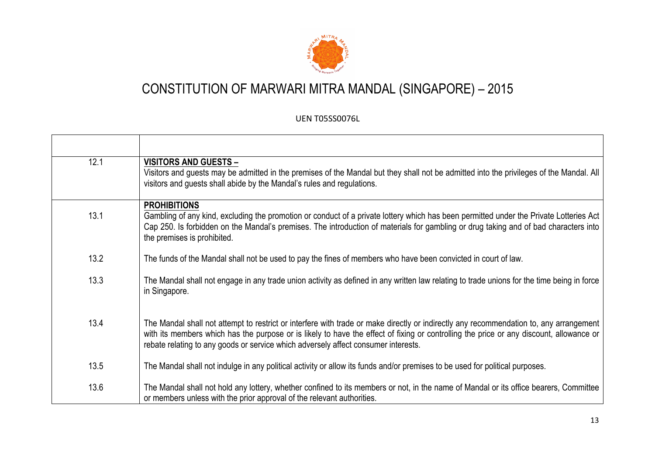

| 12.1 | <b>VISITORS AND GUESTS -</b><br>Visitors and guests may be admitted in the premises of the Mandal but they shall not be admitted into the privileges of the Mandal. All<br>visitors and quests shall abide by the Mandal's rules and regulations.                                                                                                                       |
|------|-------------------------------------------------------------------------------------------------------------------------------------------------------------------------------------------------------------------------------------------------------------------------------------------------------------------------------------------------------------------------|
| 13.1 | <b>PROHIBITIONS</b><br>Gambling of any kind, excluding the promotion or conduct of a private lottery which has been permitted under the Private Lotteries Act<br>Cap 250. Is forbidden on the Mandal's premises. The introduction of materials for gambling or drug taking and of bad characters into<br>the premises is prohibited.                                    |
| 13.2 | The funds of the Mandal shall not be used to pay the fines of members who have been convicted in court of law.                                                                                                                                                                                                                                                          |
| 13.3 | The Mandal shall not engage in any trade union activity as defined in any written law relating to trade unions for the time being in force<br>in Singapore.                                                                                                                                                                                                             |
| 13.4 | The Mandal shall not attempt to restrict or interfere with trade or make directly or indirectly any recommendation to, any arrangement<br>with its members which has the purpose or is likely to have the effect of fixing or controlling the price or any discount, allowance or<br>rebate relating to any goods or service which adversely affect consumer interests. |
| 13.5 | The Mandal shall not indulge in any political activity or allow its funds and/or premises to be used for political purposes.                                                                                                                                                                                                                                            |
| 13.6 | The Mandal shall not hold any lottery, whether confined to its members or not, in the name of Mandal or its office bearers, Committee<br>or members unless with the prior approval of the relevant authorities.                                                                                                                                                         |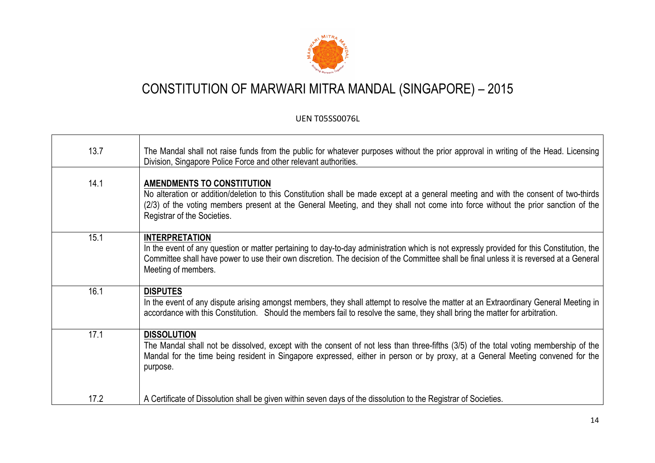

| 13.7 | The Mandal shall not raise funds from the public for whatever purposes without the prior approval in writing of the Head. Licensing<br>Division, Singapore Police Force and other relevant authorities.                                                                                                                                      |
|------|----------------------------------------------------------------------------------------------------------------------------------------------------------------------------------------------------------------------------------------------------------------------------------------------------------------------------------------------|
| 14.1 | <b>AMENDMENTS TO CONSTITUTION</b><br>No alteration or addition/deletion to this Constitution shall be made except at a general meeting and with the consent of two-thirds<br>(2/3) of the voting members present at the General Meeting, and they shall not come into force without the prior sanction of the<br>Registrar of the Societies. |
| 15.1 | <b>INTERPRETATION</b><br>In the event of any question or matter pertaining to day-to-day administration which is not expressly provided for this Constitution, the<br>Committee shall have power to use their own discretion. The decision of the Committee shall be final unless it is reversed at a General<br>Meeting of members.         |
| 16.1 | <b>DISPUTES</b><br>In the event of any dispute arising amongst members, they shall attempt to resolve the matter at an Extraordinary General Meeting in<br>accordance with this Constitution. Should the members fail to resolve the same, they shall bring the matter for arbitration.                                                      |
| 17.1 | <b>DISSOLUTION</b><br>The Mandal shall not be dissolved, except with the consent of not less than three-fifths (3/5) of the total voting membership of the<br>Mandal for the time being resident in Singapore expressed, either in person or by proxy, at a General Meeting convened for the<br>purpose.                                     |
| 17.2 | A Certificate of Dissolution shall be given within seven days of the dissolution to the Registrar of Societies.                                                                                                                                                                                                                              |